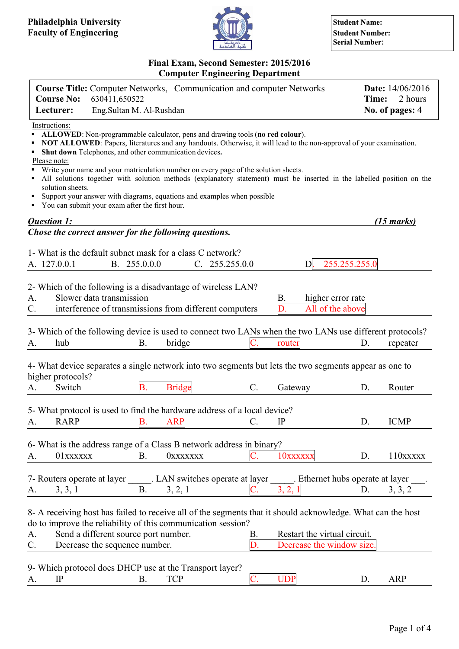

**Serial Number:**

### **Final Exam, Second Semester: 2015/2016 Computer Engineering Department**

| <b>Course No:</b>                                 | <b>Course Title:</b> Computer Networks, Communication and computer Networks<br>630411,650522                                                                                                                                                                                                                                                                                                                                                                                                                                                                                                                  |                 |                |                                                           | Time:         | <b>Date:</b> 14/06/2016<br>2 hours                 |
|---------------------------------------------------|---------------------------------------------------------------------------------------------------------------------------------------------------------------------------------------------------------------------------------------------------------------------------------------------------------------------------------------------------------------------------------------------------------------------------------------------------------------------------------------------------------------------------------------------------------------------------------------------------------------|-----------------|----------------|-----------------------------------------------------------|---------------|----------------------------------------------------|
| Lecturer:                                         | Eng.Sultan M. Al-Rushdan                                                                                                                                                                                                                                                                                                                                                                                                                                                                                                                                                                                      |                 |                |                                                           |               | No. of pages: 4                                    |
| Instructions:<br>Please note:<br>solution sheets. | ALLOWED: Non-programmable calculator, pens and drawing tools (no red colour).<br>NOT ALLOWED: Papers, literatures and any handouts. Otherwise, it will lead to the non-approval of your examination.<br>Shut down Telephones, and other communication devices.<br>Write your name and your matriculation number on every page of the solution sheets.<br>All solutions together with solution methods (explanatory statement) must be inserted in the labelled position on the<br>Support your answer with diagrams, equations and examples when possible<br>• You can submit your exam after the first hour. |                 |                |                                                           |               |                                                    |
| Question 1:                                       |                                                                                                                                                                                                                                                                                                                                                                                                                                                                                                                                                                                                               |                 |                |                                                           |               | $(15 \text{ marks})$                               |
|                                                   | Chose the correct answer for the following questions.                                                                                                                                                                                                                                                                                                                                                                                                                                                                                                                                                         |                 |                |                                                           |               |                                                    |
| A. 127.0.0.1                                      | 1- What is the default subnet mask for a class C network?<br>B. 255.0.0.0                                                                                                                                                                                                                                                                                                                                                                                                                                                                                                                                     |                 | C. 255.255.0.0 | D.                                                        | 255.255.255.0 |                                                    |
| A.<br>C.                                          | 2- Which of the following is a disadvantage of wireless LAN?<br>Slower data transmission<br>interference of transmissions from different computers                                                                                                                                                                                                                                                                                                                                                                                                                                                            |                 |                | <b>B.</b><br>higher error rate<br>D.<br>All of the above  |               |                                                    |
| hub<br>A.                                         | 3- Which of the following device is used to connect two LANs when the two LANs use different protocols?<br><b>B.</b>                                                                                                                                                                                                                                                                                                                                                                                                                                                                                          | bridge          |                | router                                                    | D.            | repeater                                           |
| higher protocols?                                 | 4- What device separates a single network into two segments but lets the two segments appear as one to                                                                                                                                                                                                                                                                                                                                                                                                                                                                                                        |                 |                |                                                           |               |                                                    |
| Switch<br>A.                                      | Β.                                                                                                                                                                                                                                                                                                                                                                                                                                                                                                                                                                                                            | <b>Bridge</b>   | $C$ .          | Gateway                                                   | D.            | Router                                             |
| <b>RARP</b><br>A.                                 | 5- What protocol is used to find the hardware address of a local device?<br><b>B.</b>                                                                                                                                                                                                                                                                                                                                                                                                                                                                                                                         | <b>ARP</b>      | C.             | IP                                                        | D.            | <b>ICMP</b>                                        |
| 01xxxxxx<br>A.                                    | 6- What is the address range of a Class B network address in binary?<br><b>B.</b>                                                                                                                                                                                                                                                                                                                                                                                                                                                                                                                             | <b>OXXXXXXX</b> |                | 10xxxxxx                                                  | D.            | $110$ <b>x</b> $\bf$ <b>x</b> $\bf$ <b>x</b> $\bf$ |
| 3, 3, 1<br>A.                                     | 7- Routers operate at layer . LAN switches operate at layer<br><b>B.</b>                                                                                                                                                                                                                                                                                                                                                                                                                                                                                                                                      | 3, 2, 1         |                | . Ethernet hubs operate at layer<br>3, 2, 1               | D.            | 3, 3, 2                                            |
| A.<br>C.                                          | 8- A receiving host has failed to receive all of the segments that it should acknowledge. What can the host<br>do to improve the reliability of this communication session?<br>Send a different source port number.<br>Decrease the sequence number.                                                                                                                                                                                                                                                                                                                                                          |                 | В.<br>D.       | Restart the virtual circuit.<br>Decrease the window size. |               |                                                    |
|                                                   | 9- Which protocol does DHCP use at the Transport layer?                                                                                                                                                                                                                                                                                                                                                                                                                                                                                                                                                       |                 |                |                                                           |               |                                                    |

A. IP B. TCP C. UDP D. ARP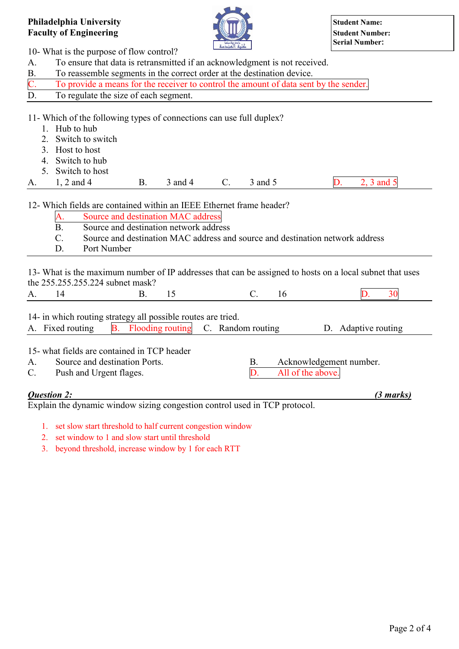

10- What is the purpose of flow control?

A. To ensure that data is retransmitted if an acknowledgment is not received.

| To reassemble segments in the correct order at the destination device. |  |
|------------------------------------------------------------------------|--|
|------------------------------------------------------------------------|--|

| To provide a means for the receiver to control the amount of data sent by the sender. |
|---------------------------------------------------------------------------------------|
| To regulate the size of each segment.                                                 |

11- Which of the following types of connections can use full duplex?

- 1. Hub to hub
- 2. Switch to switch
- 3. Host to host
- 4. Switch to hub
- 5. Switch to host

A. 1, 2 and 4 B. 3 and 4 C. 3 and 5 D. 2, 3 and 5

# 12- Which fields are contained within an IEEE Ethernet frame header?

- A. Source and destination MAC address
- B. Source and destination network address
- C. Source and destination MAC address and source and destination network address
- D. Port Number

13- What is the maximum number of IP addresses that can be assigned to hosts on a local subnet that uses the 255.255.255.224 subnet mask?

| . . |  |  |  |  |
|-----|--|--|--|--|
|     |  |  |  |  |

14- in which routing strategy all possible routes are tried.

|  |  | A. Fixed routing B. Flooding routing C. Random routing D. Adaptive routing |  |
|--|--|----------------------------------------------------------------------------|--|
|  |  |                                                                            |  |

## 15- what fields are contained in TCP header

A. Source and destination Ports. B. Acknowledgement number.

- C. Push and Urgent flages. D. All of the above.
- 

## *Question 2: (3 marks)*

Explain the dynamic window sizing congestion control used in TCP protocol.

- 1. set slow start threshold to half current congestion window
- 2. set window to 1 and slow start until threshold
- 3. beyond threshold, increase window by 1 for each RTT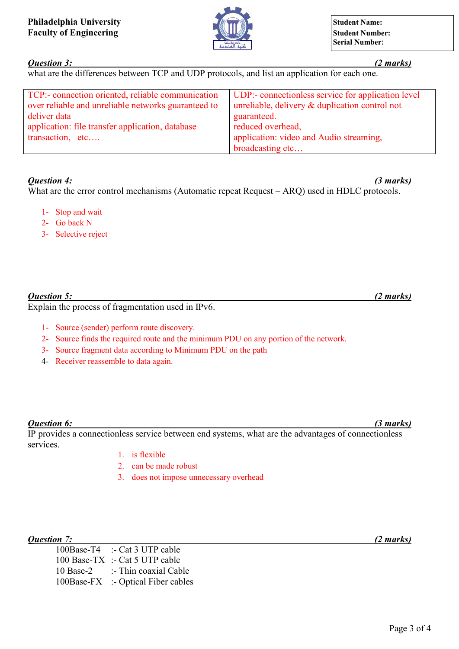

## *Question 3: (2 marks)*

what are the differences between TCP and UDP protocols, and list an application for each one.

| TCP:- connection oriented, reliable communication   | UDP:- connectionless service for application level |
|-----------------------------------------------------|----------------------------------------------------|
| over reliable and unreliable networks guaranteed to | unreliable, delivery $\&$ duplication control not  |
| deliver data                                        | guaranteed.                                        |
| application: file transfer application, database    | reduced overhead,                                  |
| transaction, etc                                    | application: video and Audio streaming,            |
|                                                     | broadcasting etc                                   |

#### *Question 4: (3 marks)*

What are the error control mechanisms (Automatic repeat Request – ARQ) used in HDLC protocols.

- 1- Stop and wait
- 2- Go back N
- 3- Selective reject

## *Question 5: (2 marks)*

Explain the process of fragmentation used in IPv6.

- 1- Source (sender) perform route discovery.
- 2- Source finds the required route and the minimum PDU on any portion of the network.
- 3- Source fragment data according to Minimum PDU on the path
- 4- Receiver reassemble to data again.

## *Question 6: (3 marks)*

IP provides a connectionless service between end systems, what are the advantages of connectionless services.

- 1. is flexible
- 2. can be made robust
- 3. does not impose unnecessary overhead

#### *Question 7: (2 marks)*

100Base-T4 :- Cat 3 UTP cable 100 Base-TX :- Cat 5 UTP cable 10 Base-2 :- Thin coaxial Cable 100Base-FX :- Optical Fiber cables